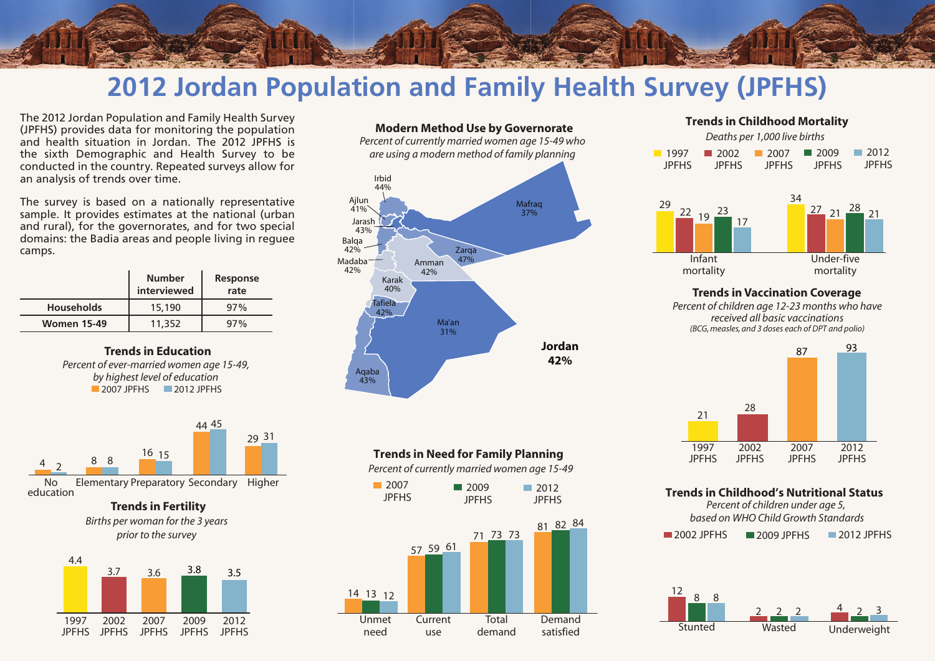

# **2012 Jordan Population and Family Health Survey (JPFHS)**

The 2012 Jordan Population and Family Health Survey (JPFHS) provides data for monitoring the population and health situation in Jordan. The 2012 JPFHS is the sixth Demographic and Health Survey to be conducted in the country. Repeated surveys allow for an analysis of trends over time.

The survey is based on a nationally representative sample. It provides estimates at the national (urban and rural), for the governorates, and for two special domains: the Badia areas and people living in reguee camps.

|                    | <b>Number</b><br>interviewed | Response<br>rate |
|--------------------|------------------------------|------------------|
| <b>Households</b>  | 15,190                       | 97%              |
| <b>Women 15-49</b> | 11.352                       | $97\%$           |

**Trends in Education** *Percent of ever-married women age 15-49, by highest level of education* **2007 IPFHS** 2012 IPFHS



**Trends in Fertility**

*Births per woman for the 3 years prior to the survey*





*Percent of currently married women age 15-49 who are using a modern method of family planning*



## **Trends in Need for Family Planning**

*Percent of currently married women age 15-49*



### **Trends in Childhood Mortality** *Deaths per 1,000 live births*



#### **Trends in Vaccination Coverage** *Percent of children age 12-23 months who have received all basic vaccinations (BCG, measles, and 3 doses each of DPT and polio)*



#### **Trends in Childhood's Nutritional Status**

*Percent of children under age 5, based on WHO Child Growth Standards* 2002 JPFHS **2009 JPFHS** 2012 JPFHS